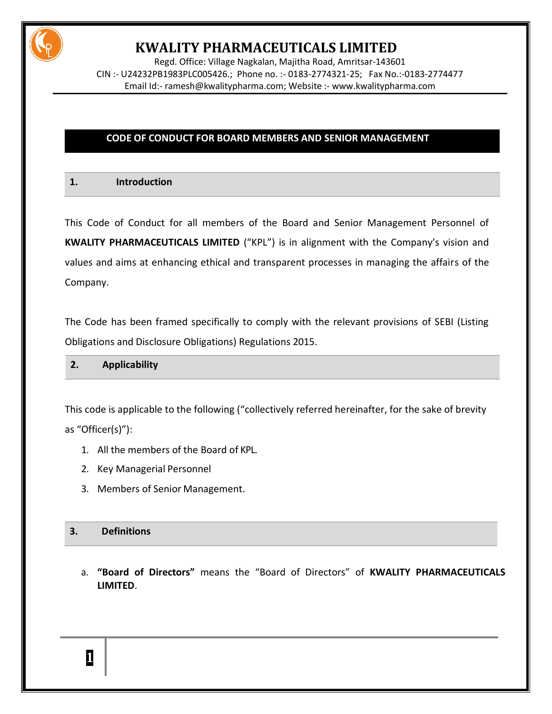

Regd. Office: Village Nagkalan, Majitha Road, Amritsar-143601 CIN :- U24232PB1983PLC005426.; Phone no. :- 0183-2774321-25; Fax No.:-0183-2774477 Email Id:- [ramesh@kwalitypharma.com;](mailto:ramesh@kwalitypharma.com) Website :- [www.kwalitypharma.com](http://www.kwalitypharma.com/)

### **CODE OF CONDUCT FOR BOARD MEMBERS AND SENIOR MANAGEMENT**

### **1. Introduction**

This Code of Conduct for all members of the Board and Senior Management Personnel of **KWALITY PHARMACEUTICALS LIMITED** ("KPL") is in alignment with the Company's vision and values and aims at enhancing ethical and transparent processes in managing the affairs of the Company.

The Code has been framed specifically to comply with the relevant provisions of SEBI (Listing Obligations and Disclosure Obligations) Regulations 2015.

### **2. Applicability**

This code is applicable to the following ("collectively referred hereinafter, for the sake of brevity as "Officer(s)"):

- 1. All the members of the Board of KPL.
- 2. Key Managerial Personnel
- 3. Members of Senior Management.

### **3. Definitions**

a. **"Board of Directors"** means the "Board of Directors" of **KWALITY PHARMACEUTICALS LIMITED**.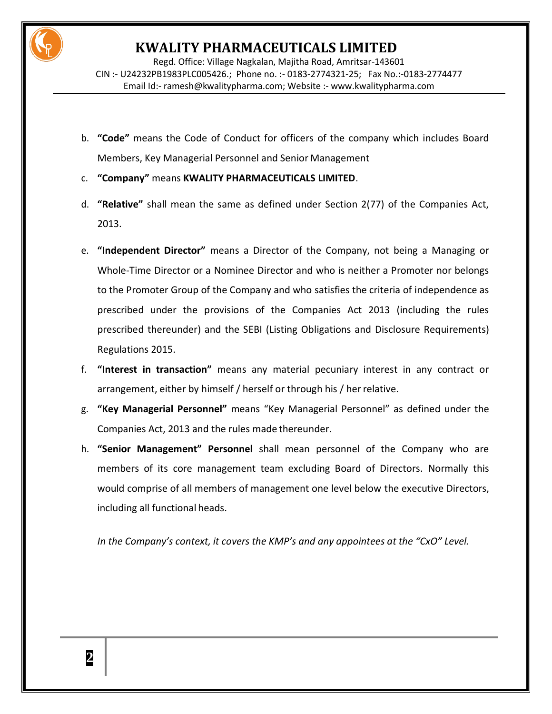Regd. Office: Village Nagkalan, Majitha Road, Amritsar-143601 CIN :- U24232PB1983PLC005426.; Phone no. :- 0183-2774321-25; Fax No.:-0183-2774477 Email Id:- [ramesh@kwalitypharma.com;](mailto:ramesh@kwalitypharma.com) Website :- [www.kwalitypharma.com](http://www.kwalitypharma.com/)

- b. **"Code"** means the Code of Conduct for officers of the company which includes Board Members, Key Managerial Personnel and Senior Management
- c. **"Company"** means **KWALITY PHARMACEUTICALS LIMITED**.
- d. **"Relative"** shall mean the same as defined under Section 2(77) of the Companies Act, 2013.
- e. **"Independent Director"** means a Director of the Company, not being a Managing or Whole-Time Director or a Nominee Director and who is neither a Promoter nor belongs to the Promoter Group of the Company and who satisfies the criteria of independence as prescribed under the provisions of the Companies Act 2013 (including the rules prescribed thereunder) and the SEBI (Listing Obligations and Disclosure Requirements) Regulations 2015.
- f. **"Interest in transaction"** means any material pecuniary interest in any contract or arrangement, either by himself / herself or through his / her relative.
- g. **"Key Managerial Personnel"** means "Key Managerial Personnel" as defined under the Companies Act, 2013 and the rules made thereunder.
- h. **"Senior Management" Personnel** shall mean personnel of the Company who are members of its core management team excluding Board of Directors. Normally this would comprise of all members of management one level below the executive Directors, including all functional heads.

*In the Company's context, it covers the KMP's and any appointees at the "CxO" Level.*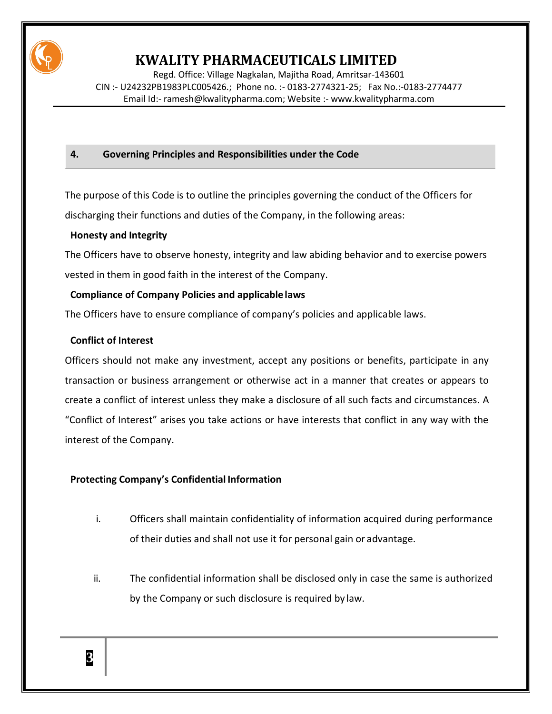

Regd. Office: Village Nagkalan, Majitha Road, Amritsar-143601 CIN :- U24232PB1983PLC005426.; Phone no. :- 0183-2774321-25; Fax No.:-0183-2774477 Email Id:- [ramesh@kwalitypharma.com;](mailto:ramesh@kwalitypharma.com) Website :- [www.kwalitypharma.com](http://www.kwalitypharma.com/)

#### **4. Governing Principles and Responsibilities under the Code**

The purpose of this Code is to outline the principles governing the conduct of the Officers for discharging their functions and duties of the Company, in the following areas:

#### **Honesty and Integrity**

The Officers have to observe honesty, integrity and law abiding behavior and to exercise powers vested in them in good faith in the interest of the Company.

### **Compliance of Company Policies and applicablelaws**

The Officers have to ensure compliance of company's policies and applicable laws.

#### **Conflict of Interest**

Officers should not make any investment, accept any positions or benefits, participate in any transaction or business arrangement or otherwise act in a manner that creates or appears to create a conflict of interest unless they make a disclosure of all such facts and circumstances. A "Conflict of Interest" arises you take actions or have interests that conflict in any way with the interest of the Company.

### **Protecting Company's Confidential Information**

- i. Officers shall maintain confidentiality of information acquired during performance of their duties and shall not use it for personal gain or advantage.
- ii. The confidential information shall be disclosed only in case the same is authorized by the Company or such disclosure is required by law.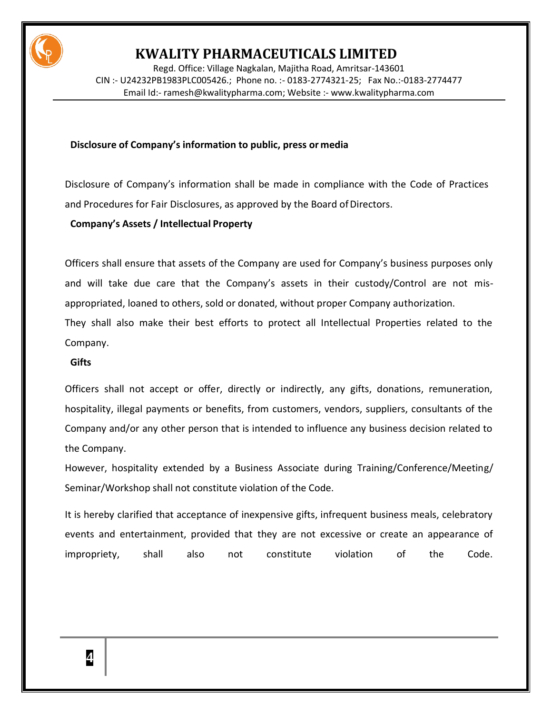

Regd. Office: Village Nagkalan, Majitha Road, Amritsar-143601 CIN :- U24232PB1983PLC005426.; Phone no. :- 0183-2774321-25; Fax No.:-0183-2774477 Email Id:- [ramesh@kwalitypharma.com;](mailto:ramesh@kwalitypharma.com) Website :- [www.kwalitypharma.com](http://www.kwalitypharma.com/)

#### **Disclosure of Company's information to public, press or media**

Disclosure of Company's information shall be made in compliance with the Code of Practices and Procedures for Fair Disclosures, as approved by the Board ofDirectors.

### **Company's Assets / Intellectual Property**

Officers shall ensure that assets of the Company are used for Company's business purposes only and will take due care that the Company's assets in their custody/Control are not misappropriated, loaned to others, sold or donated, without proper Company authorization.

They shall also make their best efforts to protect all Intellectual Properties related to the Company.

#### **Gifts**

Officers shall not accept or offer, directly or indirectly, any gifts, donations, remuneration, hospitality, illegal payments or benefits, from customers, vendors, suppliers, consultants of the Company and/or any other person that is intended to influence any business decision related to the Company.

However, hospitality extended by a Business Associate during Training/Conference/Meeting/ Seminar/Workshop shall not constitute violation of the Code.

It is hereby clarified that acceptance of inexpensive gifts, infrequent business meals, celebratory events and entertainment, provided that they are not excessive or create an appearance of impropriety, shall also not constitute violation of the Code.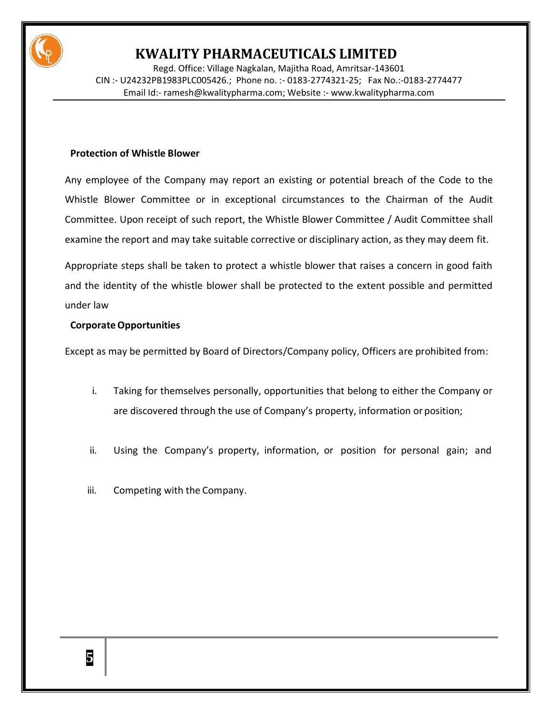

Regd. Office: Village Nagkalan, Majitha Road, Amritsar-143601 CIN :- U24232PB1983PLC005426.; Phone no. :- 0183-2774321-25; Fax No.:-0183-2774477 Email Id:- [ramesh@kwalitypharma.com;](mailto:ramesh@kwalitypharma.com) Website :- [www.kwalitypharma.com](http://www.kwalitypharma.com/)

#### **Protection of Whistle Blower**

Any employee of the Company may report an existing or potential breach of the Code to the Whistle Blower Committee or in exceptional circumstances to the Chairman of the Audit Committee. Upon receipt of such report, the Whistle Blower Committee / Audit Committee shall examine the report and may take suitable corrective or disciplinary action, as they may deem fit.

Appropriate steps shall be taken to protect a whistle blower that raises a concern in good faith and the identity of the whistle blower shall be protected to the extent possible and permitted under law

### **CorporateOpportunities**

Except as may be permitted by Board of Directors/Company policy, Officers are prohibited from:

- i. Taking for themselves personally, opportunities that belong to either the Company or are discovered through the use of Company's property, information or position;
- ii. Using the Company's property, information, or position for personal gain; and
- iii. Competing with the Company.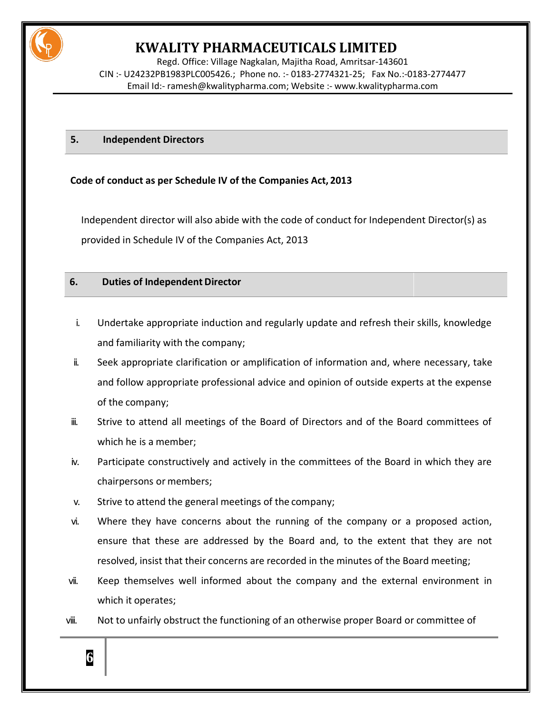

Regd. Office: Village Nagkalan, Majitha Road, Amritsar-143601 CIN :- U24232PB1983PLC005426.; Phone no. :- 0183-2774321-25; Fax No.:-0183-2774477 Email Id:- [ramesh@kwalitypharma.com;](mailto:ramesh@kwalitypharma.com) Website :- [www.kwalitypharma.com](http://www.kwalitypharma.com/)

#### **5. Independent Directors**

### **Code of conduct as per Schedule IV of the Companies Act, 2013**

Independent director will also abide with the code of conduct for Independent Director(s) as provided in Schedule IV of the Companies Act, 2013

### **6. Duties of Independent Director**

**6**

- i. Undertake appropriate induction and regularly update and refresh their skills, knowledge and familiarity with the company;
- ii. Seek appropriate clarification or amplification of information and, where necessary, take and follow appropriate professional advice and opinion of outside experts at the expense of the company;
- iii. Strive to attend all meetings of the Board of Directors and of the Board committees of which he is a member;
- iv. Participate constructively and actively in the committees of the Board in which they are chairpersons or members;
- v. Strive to attend the general meetings of the company;
- vi. Where they have concerns about the running of the company or a proposed action, ensure that these are addressed by the Board and, to the extent that they are not resolved, insist that their concerns are recorded in the minutes of the Board meeting;
- vii. Keep themselves well informed about the company and the external environment in which it operates;
- viii. Not to unfairly obstruct the functioning of an otherwise proper Board or committee of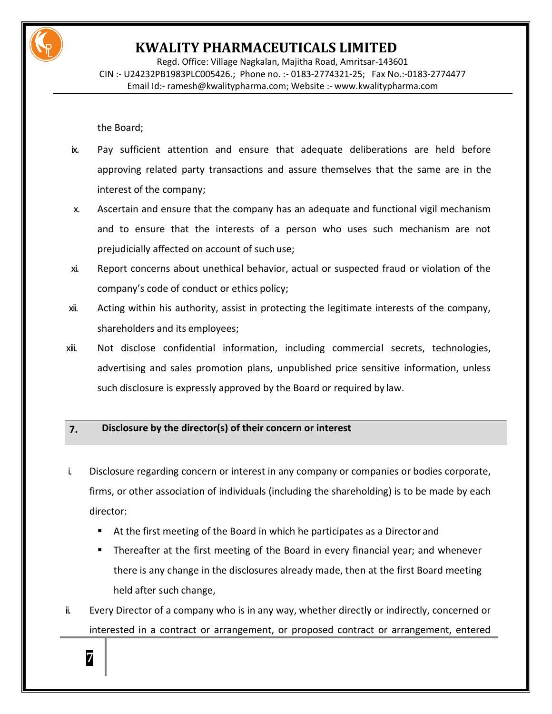

Regd. Office: Village Nagkalan, Majitha Road, Amritsar-143601 CIN :- U24232PB1983PLC005426.; Phone no. :- 0183-2774321-25; Fax No.:-0183-2774477 Email Id:- [ramesh@kwalitypharma.com;](mailto:ramesh@kwalitypharma.com) Website :- [www.kwalitypharma.com](http://www.kwalitypharma.com/)

the Board;

**7**

- ix. Pay sufficient attention and ensure that adequate deliberations are held before approving related party transactions and assure themselves that the same are in the interest of the company;
- x. Ascertain and ensure that the company has an adequate and functional vigil mechanism and to ensure that the interests of a person who uses such mechanism are not prejudicially affected on account of such use;
- xi. Report concerns about unethical behavior, actual or suspected fraud or violation of the company's code of conduct or ethics policy;
- xii. Acting within his authority, assist in protecting the legitimate interests of the company, shareholders and its employees;
- xiii. Not disclose confidential information, including commercial secrets, technologies, advertising and sales promotion plans, unpublished price sensitive information, unless such disclosure is expressly approved by the Board or required by law.

### **7. Disclosure by the director(s) of their concern or interest**

- i. Disclosure regarding concern or interest in any company or companies or bodies corporate, firms, or other association of individuals (including the shareholding) is to be made by each director:
	- At the first meeting of the Board in which he participates as a Director and
	- **Thereafter at the first meeting of the Board in every financial year; and whenever** there is any change in the disclosures already made, then at the first Board meeting held after such change,
- ii. Every Director of a company who is in any way, whether directly or indirectly, concerned or interested in a contract or arrangement, or proposed contract or arrangement, entered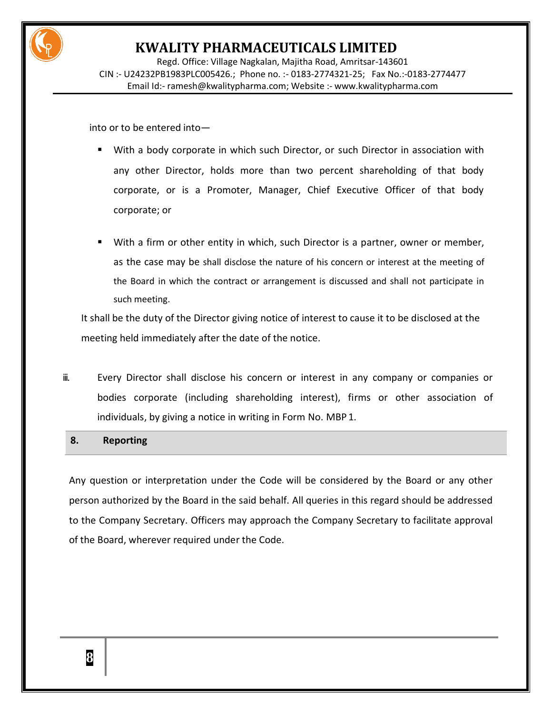

Regd. Office: Village Nagkalan, Majitha Road, Amritsar-143601 CIN :- U24232PB1983PLC005426.; Phone no. :- 0183-2774321-25; Fax No.:-0183-2774477 Email Id:- [ramesh@kwalitypharma.com;](mailto:ramesh@kwalitypharma.com) Website :- [www.kwalitypharma.com](http://www.kwalitypharma.com/)

into or to be entered into—

- With a body corporate in which such Director, or such Director in association with any other Director, holds more than two percent shareholding of that body corporate, or is a Promoter, Manager, Chief Executive Officer of that body corporate; or
- With a firm or other entity in which, such Director is a partner, owner or member, as the case may be shall disclose the nature of his concern or interest at the meeting of the Board in which the contract or arrangement is discussed and shall not participate in such meeting.

It shall be the duty of the Director giving notice of interest to cause it to be disclosed at the meeting held immediately after the date of the notice.

iii. Every Director shall disclose his concern or interest in any company or companies or bodies corporate (including shareholding interest), firms or other association of individuals, by giving a notice in writing in Form No. MBP 1.

#### **8. Reporting**

Any question or interpretation under the Code will be considered by the Board or any other person authorized by the Board in the said behalf. All queries in this regard should be addressed to the Company Secretary. Officers may approach the Company Secretary to facilitate approval of the Board, wherever required under the Code.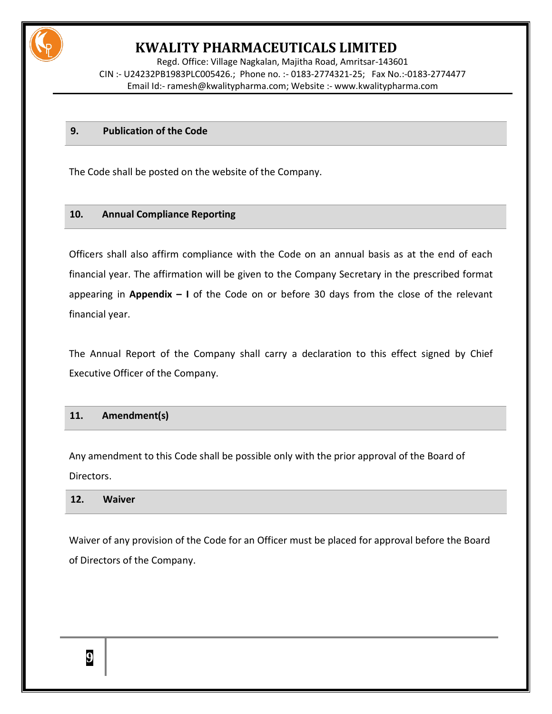

Regd. Office: Village Nagkalan, Majitha Road, Amritsar-143601 CIN :- U24232PB1983PLC005426.; Phone no. :- 0183-2774321-25; Fax No.:-0183-2774477 Email Id:- [ramesh@kwalitypharma.com;](mailto:ramesh@kwalitypharma.com) Website :- [www.kwalitypharma.com](http://www.kwalitypharma.com/)

#### **9. Publication of the Code**

The Code shall be posted on the website of the Company.

#### **10. Annual Compliance Reporting**

Officers shall also affirm compliance with the Code on an annual basis as at the end of each financial year. The affirmation will be given to the Company Secretary in the prescribed format appearing in **Appendix – I** of the Code on or before 30 days from the close of the relevant financial year.

The Annual Report of the Company shall carry a declaration to this effect signed by Chief Executive Officer of the Company.

#### **11. Amendment(s)**

Any amendment to this Code shall be possible only with the prior approval of the Board of Directors.

#### **12. Waiver**

Waiver of any provision of the Code for an Officer must be placed for approval before the Board of Directors of the Company.